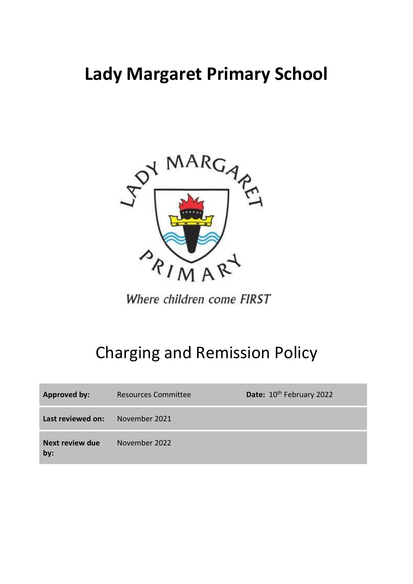# **Lady Margaret Primary School**



Where children come FIRST

# Charging and Remission Policy

| <b>Approved by:</b>    | Resources Committee | Date: 10 <sup>th</sup> February 2022 |
|------------------------|---------------------|--------------------------------------|
| Last reviewed on:      | November 2021       |                                      |
| Next review due<br>by: | November 2022       |                                      |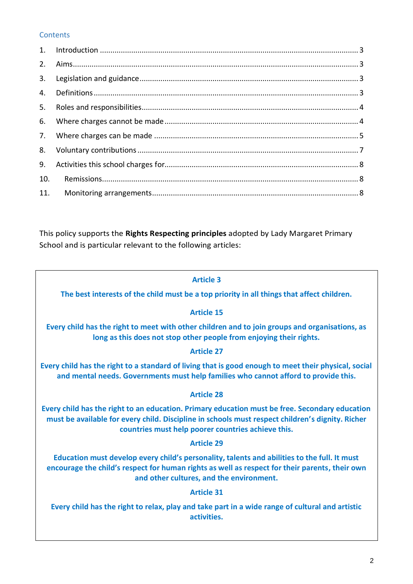# **Contents**

| 2.  |  |
|-----|--|
| 3.  |  |
| 4.  |  |
| 5.  |  |
| 6.  |  |
| 7.  |  |
| 8.  |  |
| 9.  |  |
| 10. |  |
| 11. |  |

This policy supports the **Rights Respecting principles** adopted by Lady Margaret Primary School and is particular relevant to the following articles:

#### **Article 3**

**The best interests of the child must be a top priority in all things that affect children.**

### **Article 15**

**Every child has the right to meet with other children and to join groups and organisations, as long as this does not stop other people from enjoying their rights.**

#### **Article 27**

**Every child has the right to a standard of living that is good enough to meet their physical, social and mental needs. Governments must help families who cannot afford to provide this.**

#### **Article 28**

**Every child has the right to an education. Primary education must be free. Secondary education must be available for every child. Discipline in schools must respect children's dignity. Richer countries must help poorer countries achieve this.**

#### **Article 29**

**Education must develop every child's personality, talents and abilities to the full. It must encourage the child's respect for human rights as well as respect for their parents, their own and other cultures, and the environment.**

### **Article 31**

**Every child has the right to relax, play and take part in a wide range of cultural and artistic activities.**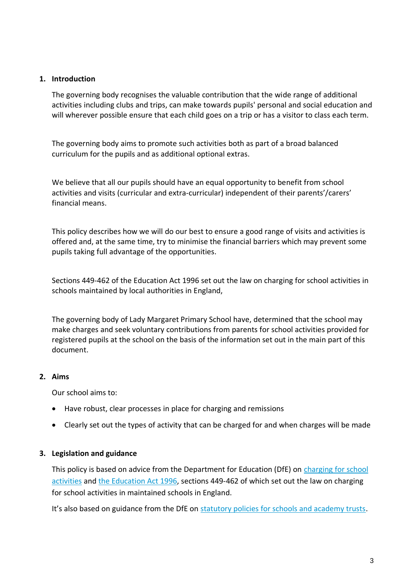#### <span id="page-2-0"></span>**1. Introduction**

The governing body recognises the valuable contribution that the wide range of additional activities including clubs and trips, can make towards pupils' personal and social education and will wherever possible ensure that each child goes on a trip or has a visitor to class each term.

The governing body aims to promote such activities both as part of a broad balanced curriculum for the pupils and as additional optional extras.

We believe that all our pupils should have an equal opportunity to benefit from school activities and visits (curricular and extra-curricular) independent of their parents'/carers' financial means.

This policy describes how we will do our best to ensure a good range of visits and activities is offered and, at the same time, try to minimise the financial barriers which may prevent some pupils taking full advantage of the opportunities.

Sections 449-462 of the Education Act 1996 set out the law on charging for school activities in schools maintained by local authorities in England,

The governing body of Lady Margaret Primary School have, determined that the school may make charges and seek voluntary contributions from parents for school activities provided for registered pupils at the school on the basis of the information set out in the main part of this document.

### <span id="page-2-1"></span>**2. Aims**

Our school aims to:

- Have robust, clear processes in place for charging and remissions
- Clearly set out the types of activity that can be charged for and when charges will be made

#### <span id="page-2-2"></span>**3. Legislation and guidance**

This policy is based on advice from the Department for Education (DfE) on charging for school [activities](https://www.gov.uk/government/publications/charging-for-school-activities) an[d the Education Act 1996,](http://www.legislation.gov.uk/ukpga/1996/56/part/VI/chapter/III) sections 449-462 of which set out the law on charging for school activities in maintained schools in England.

<span id="page-2-3"></span>It's also based on guidance from the DfE on [statutory policies for schools and academy trusts.](https://www.gov.uk/government/publications/statutory-policies-for-schools-and-academy-trusts/statutory-policies-for-schools-and-academy-trusts)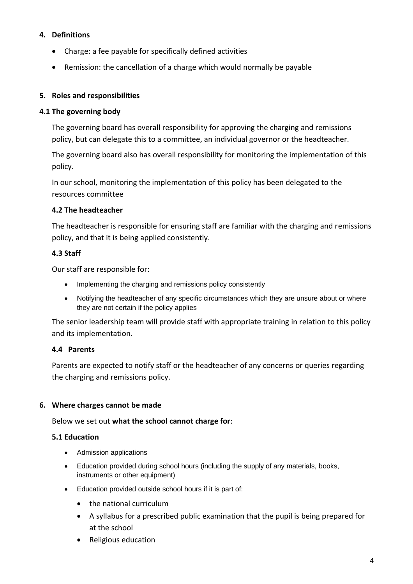# **4. Definitions**

- Charge: a fee payable for specifically defined activities
- Remission: the cancellation of a charge which would normally be payable

# <span id="page-3-0"></span>**5. Roles and responsibilities**

### **4.1 The governing body**

The governing board has overall responsibility for approving the charging and remissions policy, but can delegate this to a committee, an individual governor or the headteacher.

The governing board also has overall responsibility for monitoring the implementation of this policy.

In our school, monitoring the implementation of this policy has been delegated to the resources committee

#### **4.2 The headteacher**

The headteacher is responsible for ensuring staff are familiar with the charging and remissions policy, and that it is being applied consistently.

### **4.3 Staff**

Our staff are responsible for:

- Implementing the charging and remissions policy consistently
- Notifying the headteacher of any specific circumstances which they are unsure about or where they are not certain if the policy applies

The senior leadership team will provide staff with appropriate training in relation to this policy and its implementation.

### **4.4 Parents**

Parents are expected to notify staff or the headteacher of any concerns or queries regarding the charging and remissions policy.

### <span id="page-3-1"></span>**6. Where charges cannot be made**

Below we set out **what the school cannot charge for**:

#### **5.1 Education**

- Admission applications
- Education provided during school hours (including the supply of any materials, books, instruments or other equipment)
- Education provided outside school hours if it is part of:
	- the national curriculum
	- A syllabus for a prescribed public examination that the pupil is being prepared for at the school
	- Religious education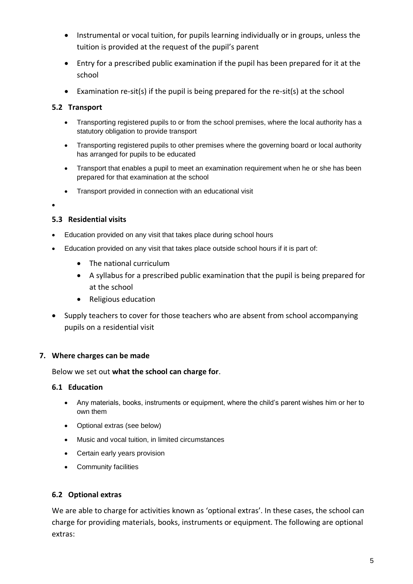- Instrumental or vocal tuition, for pupils learning individually or in groups, unless the tuition is provided at the request of the pupil's parent
- Entry for a prescribed public examination if the pupil has been prepared for it at the school
- Examination re-sit(s) if the pupil is being prepared for the re-sit(s) at the school

# **5.2 Transport**

- Transporting registered pupils to or from the school premises, where the local authority has a statutory obligation to provide transport
- Transporting registered pupils to other premises where the governing board or local authority has arranged for pupils to be educated
- Transport that enables a pupil to meet an examination requirement when he or she has been prepared for that examination at the school
- Transport provided in connection with an educational visit
- •

### **5.3 Residential visits**

- Education provided on any visit that takes place during school hours
- Education provided on any visit that takes place outside school hours if it is part of:
	- The national curriculum
	- A syllabus for a prescribed public examination that the pupil is being prepared for at the school
	- Religious education
- Supply teachers to cover for those teachers who are absent from school accompanying pupils on a residential visit

### <span id="page-4-0"></span>**7. Where charges can be made**

#### Below we set out **what the school can charge for**.

#### **6.1 Education**

- Any materials, books, instruments or equipment, where the child's parent wishes him or her to own them
- Optional extras (see below)
- Music and vocal tuition, in limited circumstances
- Certain early years provision
- Community facilities

### **6.2 Optional extras**

We are able to charge for activities known as 'optional extras'. In these cases, the school can charge for providing materials, books, instruments or equipment. The following are optional extras: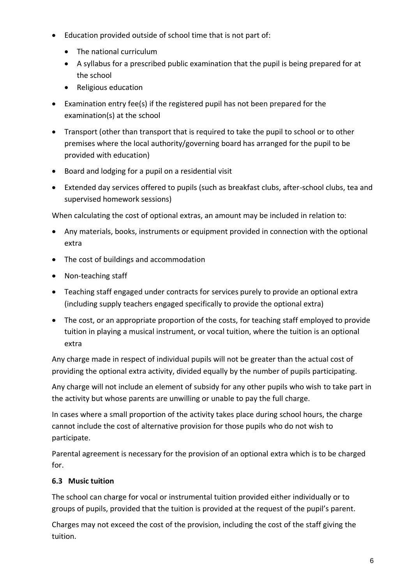- Education provided outside of school time that is not part of:
	- The national curriculum
	- A syllabus for a prescribed public examination that the pupil is being prepared for at the school
	- Religious education
- Examination entry fee(s) if the registered pupil has not been prepared for the examination(s) at the school
- Transport (other than transport that is required to take the pupil to school or to other premises where the local authority/governing board has arranged for the pupil to be provided with education)
- Board and lodging for a pupil on a residential visit
- Extended day services offered to pupils (such as breakfast clubs, after-school clubs, tea and supervised homework sessions)

When calculating the cost of optional extras, an amount may be included in relation to:

- Any materials, books, instruments or equipment provided in connection with the optional extra
- The cost of buildings and accommodation
- Non-teaching staff
- Teaching staff engaged under contracts for services purely to provide an optional extra (including supply teachers engaged specifically to provide the optional extra)
- The cost, or an appropriate proportion of the costs, for teaching staff employed to provide tuition in playing a musical instrument, or vocal tuition, where the tuition is an optional extra

Any charge made in respect of individual pupils will not be greater than the actual cost of providing the optional extra activity, divided equally by the number of pupils participating.

Any charge will not include an element of subsidy for any other pupils who wish to take part in the activity but whose parents are unwilling or unable to pay the full charge.

In cases where a small proportion of the activity takes place during school hours, the charge cannot include the cost of alternative provision for those pupils who do not wish to participate.

Parental agreement is necessary for the provision of an optional extra which is to be charged for.

# **6.3 Music tuition**

The school can charge for vocal or instrumental tuition provided either individually or to groups of pupils, provided that the tuition is provided at the request of the pupil's parent.

Charges may not exceed the cost of the provision, including the cost of the staff giving the tuition.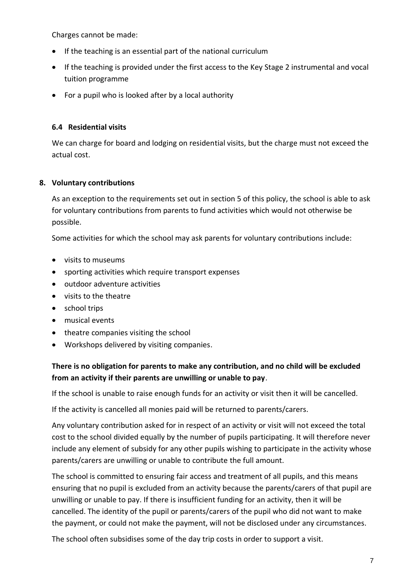Charges cannot be made:

- If the teaching is an essential part of the national curriculum
- If the teaching is provided under the first access to the Key Stage 2 instrumental and vocal tuition programme
- For a pupil who is looked after by a local authority

# **6.4 Residential visits**

We can charge for board and lodging on residential visits, but the charge must not exceed the actual cost.

# <span id="page-6-0"></span>**8. Voluntary contributions**

As an exception to the requirements set out in section 5 of this policy, the school is able to ask for voluntary contributions from parents to fund activities which would not otherwise be possible.

Some activities for which the school may ask parents for voluntary contributions include:

- visits to museums
- sporting activities which require transport expenses
- outdoor adventure activities
- visits to the theatre
- school trips
- musical events
- theatre companies visiting the school
- Workshops delivered by visiting companies.

# **There is no obligation for parents to make any contribution, and no child will be excluded from an activity if their parents are unwilling or unable to pay**.

If the school is unable to raise enough funds for an activity or visit then it will be cancelled.

If the activity is cancelled all monies paid will be returned to parents/carers.

Any voluntary contribution asked for in respect of an activity or visit will not exceed the total cost to the school divided equally by the number of pupils participating. It will therefore never include any element of subsidy for any other pupils wishing to participate in the activity whose parents/carers are unwilling or unable to contribute the full amount.

The school is committed to ensuring fair access and treatment of all pupils, and this means ensuring that no pupil is excluded from an activity because the parents/carers of that pupil are unwilling or unable to pay. If there is insufficient funding for an activity, then it will be cancelled. The identity of the pupil or parents/carers of the pupil who did not want to make the payment, or could not make the payment, will not be disclosed under any circumstances.

The school often subsidises some of the day trip costs in order to support a visit.